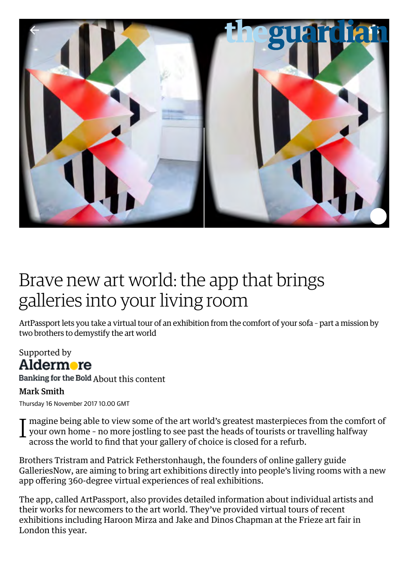

## Brave new art world: the app that brings galleries into your living room

ArtPassport lets you take a virtual tour of an exhibition from the comfort of your sofa – part a mission by two brothers to demystify the art world

## Supported by Aldermore

Banking for the Bold [About this content](https://www.theguardian.com/info/2016/jan/25/content-funding)

## Mark Smith

Thursday 16 November 2017 10.00 GMT

I magine being able to view some of the art world's greatest masterpieces from the comfort of your own home – no more jostling to see past the heads of tourists or travelling halfway across the world to find that your gallery of choice is closed for a refurb.

Brothers Tristram and Patrick Fetherstonhaugh, the founders of online gallery guide [GalleriesNow,](https://www.galleriesnow.net/) are aiming to bring art exhibitions directly into people's living rooms with a new app offering 360-degree virtual experiences of real exhibitions.

The app, called [ArtPassport,](http://www.artpassport.com/) also provides detailed information about individual artists and their works for newcomers to the art world. They've provided virtual tours of recent exhibitions including Haroon Mirza and Jake and Dinos Chapman at the Frieze art fair in London this year.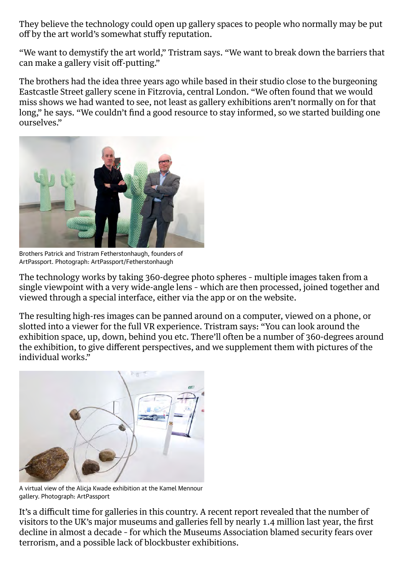They believe the technology could open up gallery spaces to people who normally may be put off by the art world's somewhat stuffy reputation.

"We want to demystify the art world," Tristram says. "We want to break down the barriers that can make a gallery visit off-putting."

The brothers had the idea three years ago while based in their studio close to the burgeoning Eastcastle Street gallery scene in Fitzrovia, central London. "We often found that we would miss shows we had wanted to see, not least as gallery exhibitions aren't normally on for that long," he says. "We couldn't find a good resource to stay informed, so we started building one ourselves."



Brothers Patrick and Tristram Fetherstonhaugh, founders of ArtPassport. Photograph: ArtPassport/Fetherstonhaugh

The technology works by taking 360-degree photo spheres – multiple images taken from a single viewpoint with a very wide-angle lens – which are then processed, joined together and viewed through a special interface, either via the app or on the website.

The resulting high-res images can be panned around on a computer, viewed on a phone, or slotted into a viewer for the full VR experience. Tristram says: "You can look around the exhibition space, up, down, behind you etc. There'll often be a number of 360-degrees around the exhibition, to give different perspectives, and we supplement them with pictures of the individual works."



A virtual view of the Alicja Kwade exhibition at the Kamel Mennour gallery. Photograph: ArtPassport

It's a difficult time for galleries in this country. A [recent report](https://www.theguardian.com/culture/2017/feb/02/british-museums-art-galleries-hit-by-2m-fall-visitors) revealed that the number of visitors to the UK's major museums and galleries fell by nearly 1.4 million last year, the first decline in almost a decade – for which the Museums Association blamed security fears over terrorism, and a possible lack of blockbuster exhibitions.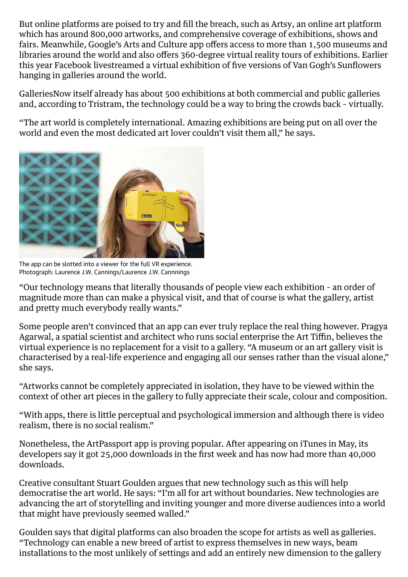But online platforms are poised to try and fill the breach, such as [Artsy](https://www.artsy.net/), an online art platform which has around 800,000 artworks, and comprehensive coverage of exhibitions, shows and fairs. Meanwhile, [Google's Arts and Culture app](https://play.google.com/store/apps/details?id=com.google.android.apps.cultural&hl=en_GB) offers access to more than 1,500 museums and libraries around the world and also offers 360-degree virtual reality tours of exhibitions. Earlier this year Facebook livestreamed [a virtual exhibition of five versions of Van Gogh's Sunflowers](https://www.facebook.com/VanGoghMuseum/videos/10159190505315597/) hanging in galleries around the world.

GalleriesNow itself already has about 500 exhibitions at both commercial and public galleries and, according to Tristram, the technology could be a way to bring the crowds back – virtually.

"The art world is completely international. Amazing exhibitions are being put on all over the world and even the most dedicated art lover couldn't visit them all," he says.



The app can be slotted into a viewer for the full VR experience. Photograph: Laurence J.W. Cannings/Laurence J.W. Cannnings

"Our technology means that literally thousands of people view each exhibition – an order of magnitude more than can make a physical visit, and that of course is what the gallery, artist and pretty much everybody really wants."

Some people aren't convinced that an app can ever truly replace the real thing however. Pragya Agarwal, a spatial scientist and architect who runs social enterprise the [Art](https://www.theguardian.com/artanddesign/art) Tiffin, believes the virtual experience is no replacement for a visit to a gallery. "A museum or an art gallery visit is characterised by a real-life experience and engaging all our senses rather than the visual alone," she says.

"Artworks cannot be completely appreciated in isolation, they have to be viewed within the context of other art pieces in the gallery to fully appreciate their scale, colour and composition.

"With apps, there is little perceptual and psychological immersion and although there is video realism, there is no social realism."

Nonetheless, the ArtPassport app is proving popular. After appearing on iTunes in May, its developers say it got 25,000 downloads in the first week and has now had more than 40,000 downloads.

Creative consultant Stuart Goulden argues that new technology such as this will help democratise the art world. He says: "I'm all for art without boundaries. New technologies are advancing the art of storytelling and inviting younger and more diverse audiences into a world that might have previously seemed walled."

Goulden says that digital platforms can also broaden the scope for artists as well as galleries. "Technology can enable a new breed of artist to express themselves in new ways, beam installations to the most unlikely of settings and add an entirely new dimension to the gallery